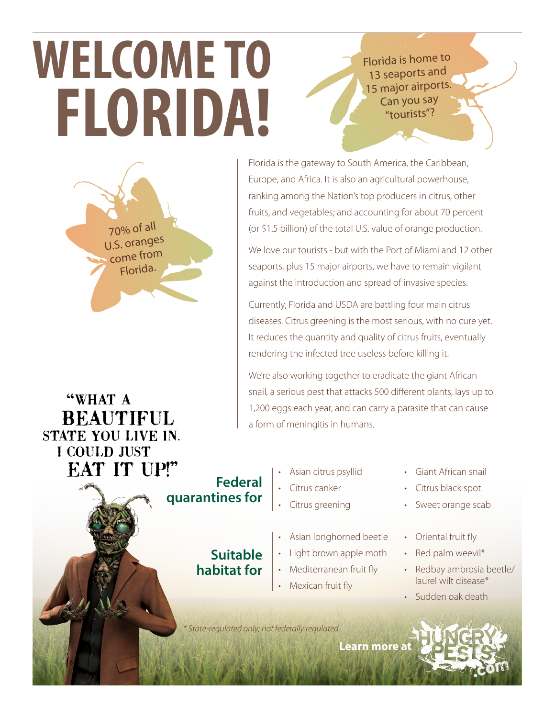## Florida is home to 13 seaports and 15 major airports. Can you say "tourists"?

## **WELCOME TO FLORIDA!**



Florida is the gateway to South America, the Caribbean, Europe, and Africa. It is also an agricultural powerhouse, ranking among the Nation's top producers in citrus, other fruits, and vegetables; and accounting for about 70 percent (or \$1.5 billion) of the total U.S. value of orange production.

We love our tourists - but with the Port of Miami and 12 other seaports, plus 15 major airports, we have to remain vigilant against the introduction and spread of invasive species.

Currently, Florida and USDA are battling four main citrus diseases. Citrus greening is the most serious, with no cure yet. It reduces the quantity and quality of citrus fruits, eventually rendering the infected tree useless before killing it.

We're also working together to eradicate the giant African snail, a serious pest that attacks 500 different plants, lays up to 1,200 eggs each year, and can carry a parasite that can cause a form of meningitis in humans.

"WHAT A **BEAUTIFUL STATE YOU LIVE IN.** I COULD JUST **EAT IT UP!"** 



**Suitable habitat for**

- Asian citrus psyllid • Citrus canker
- Citrus greening
- Asian longhorned beetle
- Light brown apple moth
- Mediterranean fruit fly
- Mexican fruit fly
- Giant African snail
- Citrus black spot
- Sweet orange scab
- Oriental fruit fly
- Red palm weevil\*
- Redbay ambrosia beetle/ laurel wilt disease\*
- Sudden oak death

*\* State-regulated only; not federally regulated*

**Learn mor[e at](http://www.hungrypests.com)**